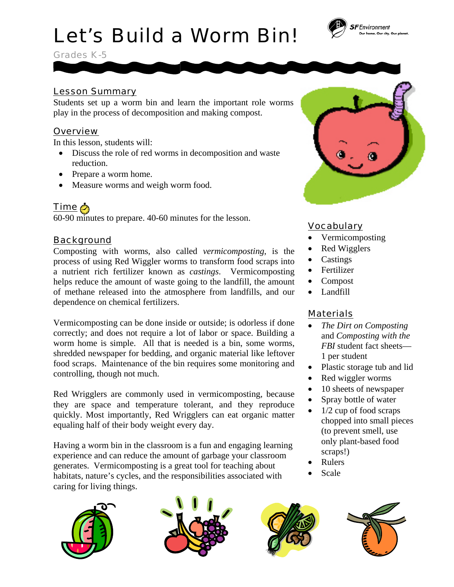# Let's Build a Worm Bin!

Grades K-5

## Lesson Summary

Students set up a worm bin and learn the important role worms play in the process of decomposition and making compost.

# **Overview**

In this lesson, students will:

- Discuss the role of red worms in decomposition and waste reduction.
- Prepare a worm home.
- Measure worms and weigh worm food.

# Time @

60-90 minutes to prepare. 40-60 minutes for the lesson.

# Background

Composting with worms, also called *vermicomposting*, is the process of using Red Wiggler worms to transform food scraps into a nutrient rich fertilizer known as *castings*. Vermicomposting helps reduce the amount of waste going to the landfill, the amount of methane released into the atmosphere from landfills, and our dependence on chemical fertilizers.

Vermicomposting can be done inside or outside; is odorless if done correctly; and does not require a lot of labor or space. Building a worm home is simple. All that is needed is a bin, some worms, shredded newspaper for bedding, and organic material like leftover food scraps. Maintenance of the bin requires some monitoring and controlling, though not much.

Red Wrigglers are commonly used in vermicomposting, because they are space and temperature tolerant, and they reproduce quickly. Most importantly, Red Wrigglers can eat organic matter equaling half of their body weight every day.

Having a worm bin in the classroom is a fun and engaging learning experience and can reduce the amount of garbage your classroom generates. Vermicomposting is a great tool for teaching about habitats, nature's cycles, and the responsibilities associated with caring for living things.







- and *Composting with the FBI* student fact sheets— 1 per student
- Plastic storage tub and lid
- Red wiggler worms
- 10 sheets of newspaper
- Spray bottle of water
- $\bullet$  1/2 cup of food scraps chopped into small pieces (to prevent smell, use only plant-based food scraps!)
- Rulers
- Scale





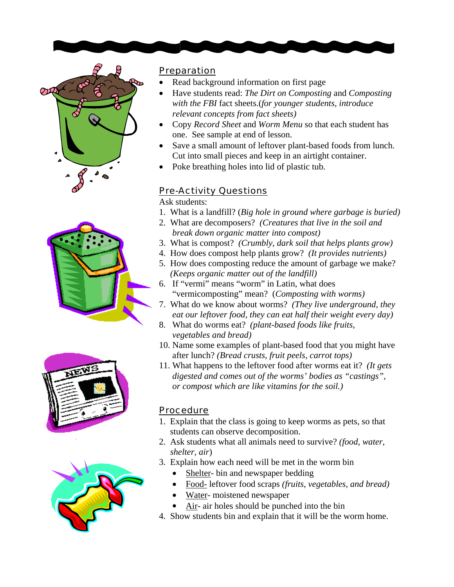







#### **Preparation**

- Read background information on first page
- Have students read: *The Dirt on Composting* and *Composting with the FBI* fact sheets.(*for younger students, introduce relevant concepts from fact sheets)*
- Copy *Record Sheet* and *Worm Menu* so that each student has one. See sample at end of lesson.
- Save a small amount of leftover plant-based foods from lunch. Cut into small pieces and keep in an airtight container.
- Poke breathing holes into lid of plastic tub.

### Pre-Activity Questions

Ask students:

- 1. What is a landfill? (*Big hole in ground where garbage is buried)*
- 2. What are decomposers? *(Creatures that live in the soil and break down organic matter into compost)*
- 3. What is compost? *(Crumbly, dark soil that helps plants grow)*
- 4. How does compost help plants grow? *(It provides nutrients)*
- 5. How does composting reduce the amount of garbage we make?  *(Keeps organic matter out of the landfill)*
- 6. If "vermi" means "worm" in Latin, what does "vermicomposting" mean? (*Composting with worms)*
- 7. What do we know about worms? *(They live underground, they eat our leftover food, they can eat half their weight every day)*
- 8. What do worms eat? *(plant-based foods like fruits, vegetables and bread)*
- 10. Name some examples of plant-based food that you might have after lunch? *(Bread crusts, fruit peels, carrot tops)*
- 11. What happens to the leftover food after worms eat it? *(It gets digested and comes out of the worms' bodies as "castings", or compost which are like vitamins for the soil.)*

#### **Procedure**

- 1. Explain that the class is going to keep worms as pets, so that students can observe decomposition.
- 2. Ask students what all animals need to survive? *(food, water, shelter, air*)
- 3. Explain how each need will be met in the worm bin
	- Shelter- bin and newspaper bedding
	- Food- leftover food scraps *(fruits, vegetables, and bread)*
	- Water- moistened newspaper
	- Air- air holes should be punched into the bin
- 4. Show students bin and explain that it will be the worm home.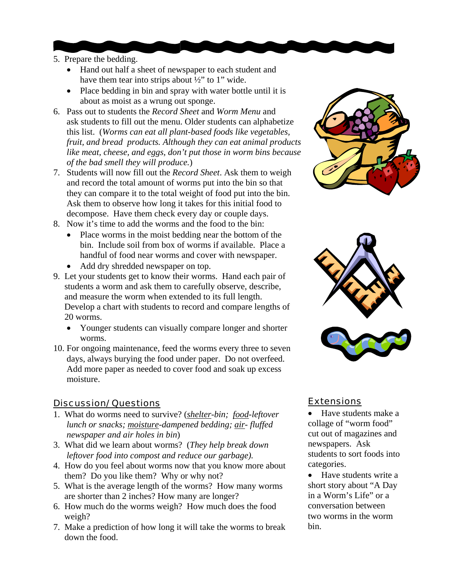- 5. Prepare the bedding.
	- Hand out half a sheet of newspaper to each student and have them tear into strips about ½" to 1" wide.
	- Place bedding in bin and spray with water bottle until it is about as moist as a wrung out sponge.
- 6. Pass out to students the *Record Sheet* and *Worm Menu* and ask students to fill out the menu. Older students can alphabetize this list. (*Worms can eat all plant-based foods like vegetables, fruit, and bread products. Although they can eat animal products like meat, cheese, and eggs, don't put those in worm bins because of the bad smell they will produce.*)
- 7. Students will now fill out the *Record Sheet*. Ask them to weigh and record the total amount of worms put into the bin so that they can compare it to the total weight of food put into the bin. Ask them to observe how long it takes for this initial food to decompose. Have them check every day or couple days.
- 8. Now it's time to add the worms and the food to the bin:
	- Place worms in the moist bedding near the bottom of the bin. Include soil from box of worms if available. Place a handful of food near worms and cover with newspaper.
	- Add dry shredded newspaper on top.
- 9. Let your students get to know their worms. Hand each pair of students a worm and ask them to carefully observe, describe, and measure the worm when extended to its full length. Develop a chart with students to record and compare lengths of 20 worms.
	- Younger students can visually compare longer and shorter worms.
- 10. For ongoing maintenance, feed the worms every three to seven days, always burying the food under paper. Do not overfeed. Add more paper as needed to cover food and soak up excess moisture.

### Discussion/ Questions

- 1. What do worms need to survive? (*shelter-bin; food-leftover lunch or snacks; moisture-dampened bedding; air- fluffed newspaper and air holes in bin*)
- 3. What did we learn about worms? (*They help break down leftover food into compost and reduce our garbage).*
- 4. How do you feel about worms now that you know more about them? Do you like them? Why or why not?
- 5. What is the average length of the worms? How many worms are shorter than 2 inches? How many are longer?
- 6. How much do the worms weigh? How much does the food weigh?
- 7. Make a prediction of how long it will take the worms to break down the food.





# **Extensions**

- Have students make a collage of "worm food" cut out of magazines and newspapers. Ask students to sort foods into categories.
- Have students write a short story about "A Day in a Worm's Life" or a conversation between two worms in the worm bin.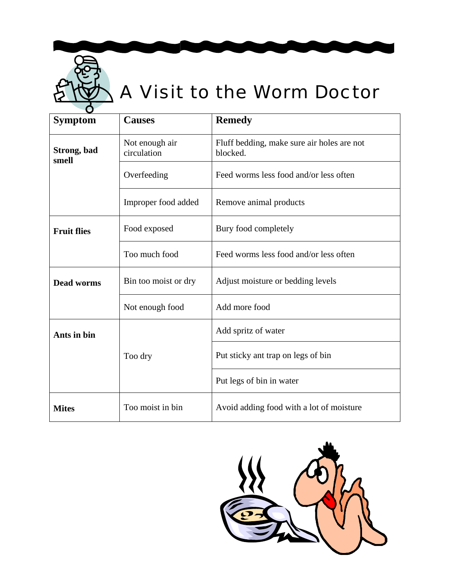

# A Visit to the Worm Doctor

| <b>Symptom</b>       | <b>Causes</b>                 | <b>Remedy</b>                                          |  |  |  |  |  |
|----------------------|-------------------------------|--------------------------------------------------------|--|--|--|--|--|
| Strong, bad<br>smell | Not enough air<br>circulation | Fluff bedding, make sure air holes are not<br>blocked. |  |  |  |  |  |
|                      | Overfeeding                   | Feed worms less food and/or less often                 |  |  |  |  |  |
|                      | Improper food added           | Remove animal products                                 |  |  |  |  |  |
| <b>Fruit flies</b>   | Food exposed                  | Bury food completely                                   |  |  |  |  |  |
|                      | Too much food                 | Feed worms less food and/or less often                 |  |  |  |  |  |
| <b>Dead worms</b>    | Bin too moist or dry          | Adjust moisture or bedding levels                      |  |  |  |  |  |
|                      | Not enough food               | Add more food                                          |  |  |  |  |  |
| Ants in bin          |                               | Add spritz of water                                    |  |  |  |  |  |
|                      | Too dry                       | Put sticky ant trap on legs of bin                     |  |  |  |  |  |
|                      |                               | Put legs of bin in water                               |  |  |  |  |  |
| <b>Mites</b>         | Too moist in bin              | Avoid adding food with a lot of moisture               |  |  |  |  |  |

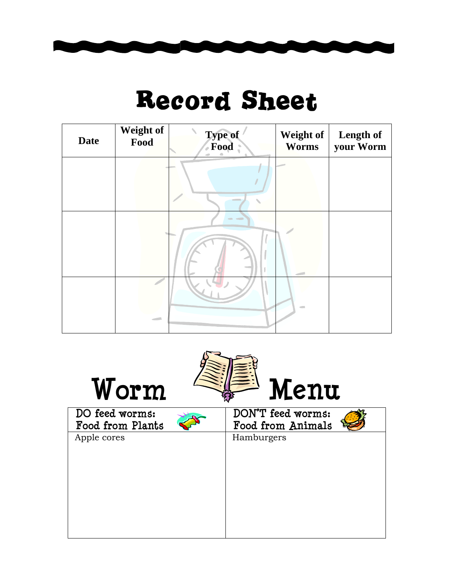

# Record Sheet

| <b>Date</b> | Weight of<br>Food | Type of<br>Food | Weight of<br><b>Worms</b> | Length of<br>your Worm |
|-------------|-------------------|-----------------|---------------------------|------------------------|
|             |                   |                 |                           |                        |
|             |                   | $\sim$          |                           |                        |
|             | $\sim$            |                 | $\equiv$                  |                        |

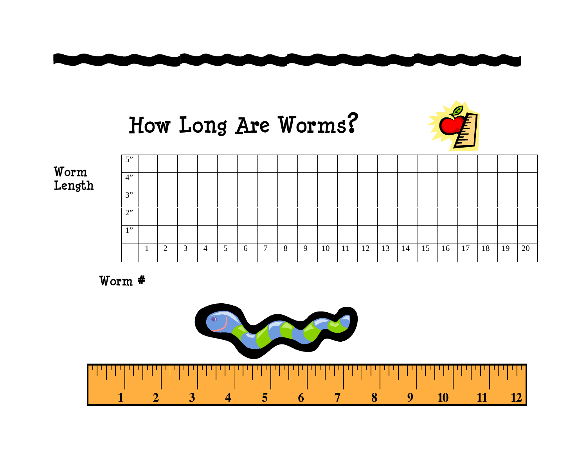





**Worm Length** 

| $5$ "                 |   |                |                |                |   |        |   |   |    |               |    |    |    |    |    |    |    |    |    |
|-----------------------|---|----------------|----------------|----------------|---|--------|---|---|----|---------------|----|----|----|----|----|----|----|----|----|
| 4"                    |   |                |                |                |   |        |   |   |    |               |    |    |    |    |    |    |    |    |    |
| 3"                    |   |                |                |                |   |        |   |   |    |               |    |    |    |    |    |    |    |    |    |
| 2"                    |   |                |                |                |   |        |   |   |    |               |    |    |    |    |    |    |    |    |    |
| 1, 22<br>$\mathbf{r}$ |   |                |                |                |   |        |   |   |    |               |    |    |    |    |    |    |    |    |    |
|                       | 2 | $\overline{3}$ | $\overline{4}$ | 5 <sup>5</sup> | 6 | $\tau$ | 8 | 9 | 10 | <sup>11</sup> | 12 | 13 | 14 | 15 | 16 | 17 | 18 | 19 | 20 |

**Worm #**

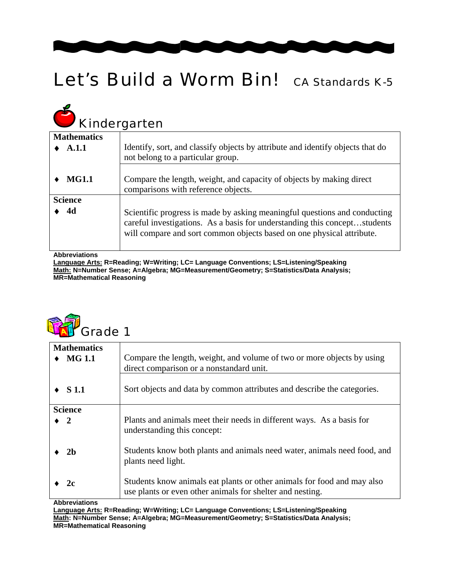

# Let's Build a Worm Bin! CA Standards K-5

# **Kindergarten Mathematics**

| Kindergarten         |                                                                                                                                                                                                                                 |  |  |  |  |  |  |  |  |
|----------------------|---------------------------------------------------------------------------------------------------------------------------------------------------------------------------------------------------------------------------------|--|--|--|--|--|--|--|--|
| <b>Mathematics</b>   |                                                                                                                                                                                                                                 |  |  |  |  |  |  |  |  |
| A.1.1                | Identify, sort, and classify objects by attribute and identify objects that do<br>not belong to a particular group.                                                                                                             |  |  |  |  |  |  |  |  |
| <b>MG1.1</b>         | Compare the length, weight, and capacity of objects by making direct<br>comparisons with reference objects.                                                                                                                     |  |  |  |  |  |  |  |  |
| <b>Science</b>       |                                                                                                                                                                                                                                 |  |  |  |  |  |  |  |  |
| 4d                   | Scientific progress is made by asking meaningful questions and conducting<br>careful investigations. As a basis for understanding this conceptstudents<br>will compare and sort common objects based on one physical attribute. |  |  |  |  |  |  |  |  |
| <b>Abbreviations</b> |                                                                                                                                                                                                                                 |  |  |  |  |  |  |  |  |

**Language Arts: R=Reading; W=Writing; LC= Language Conventions; LS=Listening/Speaking Math: N=Number Sense; A=Algebra; MG=Measurement/Geometry; S=Statistics/Data Analysis; MR=Mathematical Reasoning** 

| <b>RAT</b> Grade 1 |
|--------------------|
|--------------------|

| <b>Mathematics</b><br><b>MG 1.1</b> | Compare the length, weight, and volume of two or more objects by using<br>direct comparison or a nonstandard unit.                   |
|-------------------------------------|--------------------------------------------------------------------------------------------------------------------------------------|
| $\bullet$ S 1.1                     | Sort objects and data by common attributes and describe the categories.                                                              |
| <b>Science</b>                      |                                                                                                                                      |
| $\blacktriangleright$ 2             | Plants and animals meet their needs in different ways. As a basis for<br>understanding this concept:                                 |
| 2 <sub>b</sub>                      | Students know both plants and animals need water, animals need food, and<br>plants need light.                                       |
| 2c<br>A la la massimilia ma         | Students know animals eat plants or other animals for food and may also<br>use plants or even other animals for shelter and nesting. |

**Abbreviations** 

**Language Arts: R=Reading; W=Writing; LC= Language Conventions; LS=Listening/Speaking Math: N=Number Sense; A=Algebra; MG=Measurement/Geometry; S=Statistics/Data Analysis; MR=Mathematical Reasoning**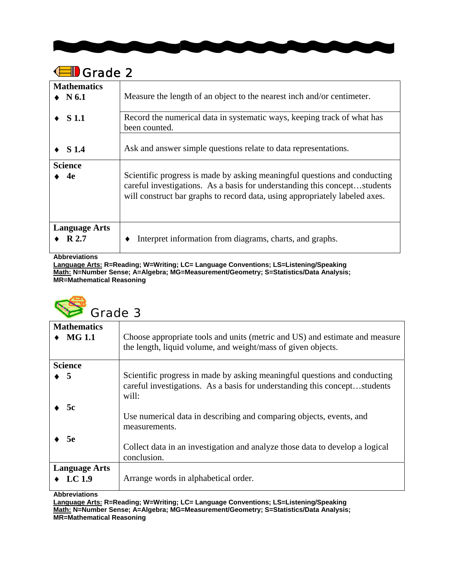

| Grade 2                       |                                                                                                                                                                                                                                       |  |  |  |  |  |  |
|-------------------------------|---------------------------------------------------------------------------------------------------------------------------------------------------------------------------------------------------------------------------------------|--|--|--|--|--|--|
| <b>Mathematics</b>            |                                                                                                                                                                                                                                       |  |  |  |  |  |  |
| $\bullet$ N 6.1               | Measure the length of an object to the nearest inch and/or centimeter.                                                                                                                                                                |  |  |  |  |  |  |
| S 1.1                         | Record the numerical data in systematic ways, keeping track of what has<br>been counted.                                                                                                                                              |  |  |  |  |  |  |
| <b>S</b> 1.4                  | Ask and answer simple questions relate to data representations.                                                                                                                                                                       |  |  |  |  |  |  |
| <b>Science</b>                |                                                                                                                                                                                                                                       |  |  |  |  |  |  |
| 4e                            | Scientific progress is made by asking meaningful questions and conducting<br>careful investigations. As a basis for understanding this conceptstudents<br>will construct bar graphs to record data, using appropriately labeled axes. |  |  |  |  |  |  |
| <b>Language Arts</b><br>R 2.7 | Interpret information from diagrams, charts, and graphs.                                                                                                                                                                              |  |  |  |  |  |  |

**Abbreviations** 

**Language Arts: R=Reading; W=Writing; LC= Language Conventions; LS=Listening/Speaking Math: N=Number Sense; A=Algebra; MG=Measurement/Geometry; S=Statistics/Data Analysis; MR=Mathematical Reasoning** 



| <b>Mathematics</b><br><b>MG 1.1</b> | Choose appropriate tools and units (metric and US) and estimate and measure<br>the length, liquid volume, and weight/mass of given objects.                     |
|-------------------------------------|-----------------------------------------------------------------------------------------------------------------------------------------------------------------|
| <b>Science</b>                      |                                                                                                                                                                 |
| $\bullet$ 5                         | Scientific progress in made by asking meaningful questions and conducting<br>careful investigations. As a basis for understanding this conceptstudents<br>will: |
| 5c                                  | Use numerical data in describing and comparing objects, events, and<br>measurements.                                                                            |
| <b>5e</b>                           | Collect data in an investigation and analyze those data to develop a logical<br>conclusion.                                                                     |
| <b>Language Arts</b>                |                                                                                                                                                                 |
| LC $1.9$                            | Arrange words in alphabetical order.                                                                                                                            |

**Abbreviations** 

**Language Arts: R=Reading; W=Writing; LC= Language Conventions; LS=Listening/Speaking Math: N=Number Sense; A=Algebra; MG=Measurement/Geometry; S=Statistics/Data Analysis; MR=Mathematical Reasoning**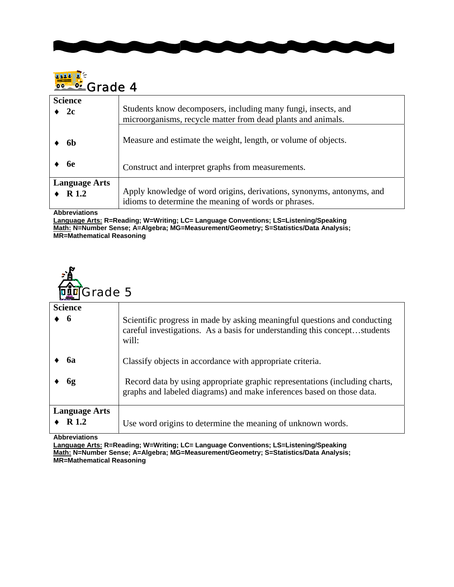



| <b>Science</b>       | Students know decomposers, including many fungi, insects, and         |
|----------------------|-----------------------------------------------------------------------|
| 2c                   | microorganisms, recycle matter from dead plants and animals.          |
| 6h                   | Measure and estimate the weight, length, or volume of objects.        |
| 6e                   | Construct and interpret graphs from measurements.                     |
| <b>Language Arts</b> | Apply knowledge of word origins, derivations, synonyms, antonyms, and |
| R <sub>1.2</sub>     | idioms to determine the meaning of words or phrases.                  |

**Abbreviations** 

**Language Arts: R=Reading; W=Writing; LC= Language Conventions; LS=Listening/Speaking Math: N=Number Sense; A=Algebra; MG=Measurement/Geometry; S=Statistics/Data Analysis; MR=Mathematical Reasoning** 



| المنتقدان                     |                                                                                                                                                                 |
|-------------------------------|-----------------------------------------------------------------------------------------------------------------------------------------------------------------|
| <b>Science</b>                |                                                                                                                                                                 |
| - 6                           | Scientific progress in made by asking meaningful questions and conducting<br>careful investigations. As a basis for understanding this conceptstudents<br>will: |
| <b>6a</b>                     | Classify objects in accordance with appropriate criteria.                                                                                                       |
| 6g                            | Record data by using appropriate graphic representations (including charts,<br>graphs and labeled diagrams) and make inferences based on those data.            |
| <b>Language Arts</b><br>R 1.2 | Use word origins to determine the meaning of unknown words.                                                                                                     |

**Abbreviations** 

**Language Arts: R=Reading; W=Writing; LC= Language Conventions; LS=Listening/Speaking Math: N=Number Sense; A=Algebra; MG=Measurement/Geometry; S=Statistics/Data Analysis; MR=Mathematical Reasoning**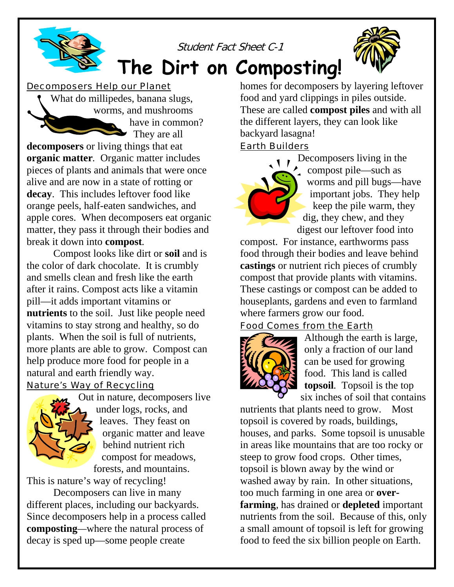

### Decomposers Help our Planet

What do millipedes, banana slugs, worms, and mushrooms have in common? They are all

**decomposers** or living things that eat **organic matter***.* Organic matter includes pieces of plants and animals that were once alive and are now in a state of rotting or **decay**. This includes leftover food like orange peels, half-eaten sandwiches, and apple cores. When decomposers eat organic matter, they pass it through their bodies and break it down into **compost***.* 

Compost looks like dirt or **soil** and is the color of dark chocolate. It is crumbly and smells clean and fresh like the earth after it rains. Compost acts like a vitamin pill—it adds important vitamins or **nutrients** to the soil. Just like people need vitamins to stay strong and healthy, so do plants. When the soil is full of nutrients, more plants are able to grow. Compost can help produce more food for people in a natural and earth friendly way.

# Nature's Way of Recycling



Out in nature, decomposers live under logs, rocks, and leaves. They feast on organic matter and leave behind nutrient rich compost for meadows, forests, and mountains.

This is nature's way of recycling!

Decomposers can live in many different places, including our backyards. Since decomposers help in a process called **composting***—*where the natural process of decay is sped up—some people create

homes for decomposers by layering leftover food and yard clippings in piles outside. These are called **compost piles** and with all the different layers, they can look like backyard lasagna!

### Earth Builders

Decomposers living in the compost pile—such as worms and pill bugs—have important jobs. They help keep the pile warm, they dig, they chew, and they digest our leftover food into

compost. For instance, earthworms pass food through their bodies and leave behind **castings** or nutrient rich pieces of crumbly compost that provide plants with vitamins. These castings or compost can be added to houseplants, gardens and even to farmland where farmers grow our food.

# Food Comes from the Earth



Although the earth is large, only a fraction of our land can be used for growing food. This land is called **topsoil***.* Topsoil is the top six inches of soil that c ontains

nutrients that plants need to grow. Most topsoil is covered by roads, buildings, houses, and parks. Some topsoil is unusable in areas like mountains that are too rocky or steep to grow food crops. Other times, topsoil is blown away by the wind or washed away by rain. In other situations, too much farming in one area or **overfarming***,* has drained or **depleted** important nutrients from the soil. Because of this, only a small amount of topsoil is left for growing food to feed the six billion people on Earth.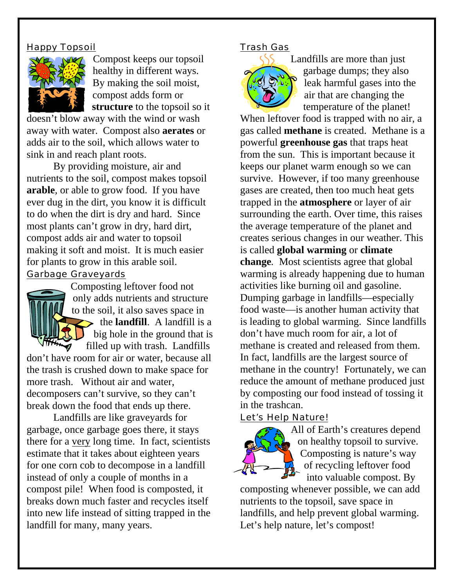# Happy Topsoil



Compost keeps our topsoil healthy in different ways. By making the soil moist, compost adds form or **structure** to the topsoil so it

doesn't blow away with the wind or wash away with water. Compost also **aerates** or adds air to the soil, which allows water to sink in and reach plant roots.

By providing moisture, air and nutrients to the soil, compost makes topsoil **arable***,* or able to grow food. If you have ever dug in the dirt, you know it is difficult to do when the dirt is dry and hard. Since most plants can't grow in dry, hard dirt, compost adds air and water to topsoil making it soft and moist. It is much easier for plants to grow in this arable soil.

## Garbage Graveyards



Composting leftover food not only adds nutrients and structure to the soil, it also saves space in  $\rightarrow$  the **landfill**. A landfill is a big hole in the ground that is filled up with trash. Landfills

don't have room for air or water, because all the trash is crushed down to make space for more trash. Without air and water, decomposers can't survive, so they can't break down the food that ends up there.

Landfills are like graveyards for garbage, once garbage goes there, it stays there for a very long time. In fact, scientists estimate that it takes about eighteen years for one corn cob to decompose in a landfill instead of only a couple of months in a compost pile! When food is composted, it breaks down much faster and recycles itself into new life instead of sitting trapped in the landfill for many, many years.

#### Trash Gas



Landfills are more than just garbage dumps; they also leak harmful gases into the air that are changing the temperature of the planet!

When leftover food is trapped with no air, a gas called **methane** is created. Methane is a powerful **greenhouse gas** that traps heat from the sun. This is important because it keeps our planet warm enough so we can survive. However, if too many greenhouse gases are created, then too much heat gets trapped in the **atmosphere** or layer of air surrounding the earth. Over time, this raises the average temperature of the planet and creates serious changes in our weather. This is called **global warming** or **climate change***.* Most scientists agree that global warming is already happening due to human activities like burning oil and gasoline. Dumping garbage in landfills—especially food waste—is another human activity that is leading to global warming. Since landfills don't have much room for air, a lot of methane is created and released from them. In fact, landfills are the largest source of methane in the country! Fortunately, we can reduce the amount of methane produced just by composting our food instead of tossing it in the trashcan.

### Let's Help Nature!



All of Earth's creatures depend on healthy topsoil to survive. Composting is nature's way of recycling leftover food into valuable compost. By

composting whenever possible, we can add nutrients to the topsoil, save space in landfills, and help prevent global warming. Let's help nature, let's compost!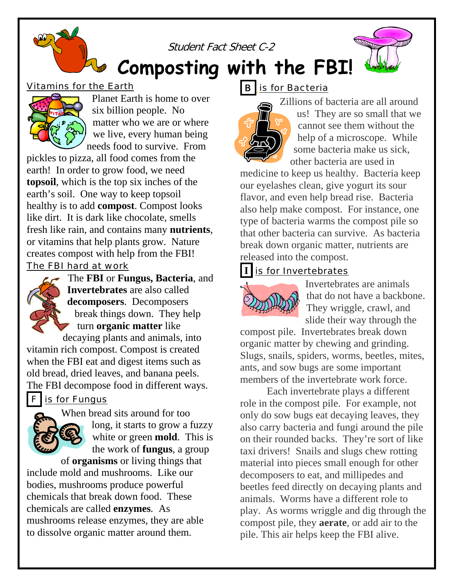



**Composting with the FBI!**

# Vitamins for the Earth



 Planet Earth is home to over six billion people. No matter who we are or where we live, every human being needs food to survive. From

pickles to pizza, all food comes from the earth! In order to grow food, we need **topsoil**, which is the top six inches of the earth's soil. One way to keep topsoil healthy is to add **compost**. Compost looks like dirt. It is dark like chocolate, smells fresh like rain, and contains many **nutrients**, or vitamins that help plants grow. Nature creates compost with help from the FBI!

### The FBI hard at work



The **FBI** or **Fungus, Bacteria**, and **Invertebrates** are also called **decomposers**. Decomposers break things down. They help turn **organic matter** like

decaying plants and animals, into vitamin rich compost. Compost is created when the FBI eat and digest items such as old bread, dried leaves, and banana peels. The FBI decompose food in different ways.

# $F$  is for Fungus



When bread sits around for too long, it starts to grow a fuzzy white or green **mold**. This is the work of **fungus**, a group

of **organisms** or living things that include mold and mushrooms. Like our bodies, mushrooms produce powerful chemicals that break down food. These chemicals are called **enzymes***.* As mushrooms release enzymes, they are able to dissolve organic matter around them.

# **B** is for Bacteria



Zillions of bacteria are all around us! They are so small that we cannot see them without the help of a microscope. While some bacteria make us sick, other bacteria are used in

medicine to keep us healthy. Bacteria keep our eyelashes clean, give yogurt its sour flavor, and even help bread rise. Bacteria also help make compost. For instance, one type of bacteria warms the compost pile so that other bacteria can survive. As bacteria break down organic matter, nutrients are released into the compost.

# **I** is for Invertebrates



Invertebrates are animals that do not have a backbone. They wriggle, crawl, and slide their way through the

compost pile. Invertebrates break down organic matter by chewing and grinding. Slugs, snails, spiders, worms, beetles, mites, ants, and sow bugs are some important members of the invertebrate work force.

Each invertebrate plays a different role in the compost pile. For example, not only do sow bugs eat decaying leaves, they also carry bacteria and fungi around the pile on their rounded backs. They're sort of like taxi drivers! Snails and slugs chew rotting material into pieces small enough for other decomposers to eat, and millipedes and beetles feed directly on decaying plants and animals. Worms have a different role to play. As worms wriggle and dig through the compost pile, they **aerate**, or add air to the pile. This air helps keep the FBI alive.